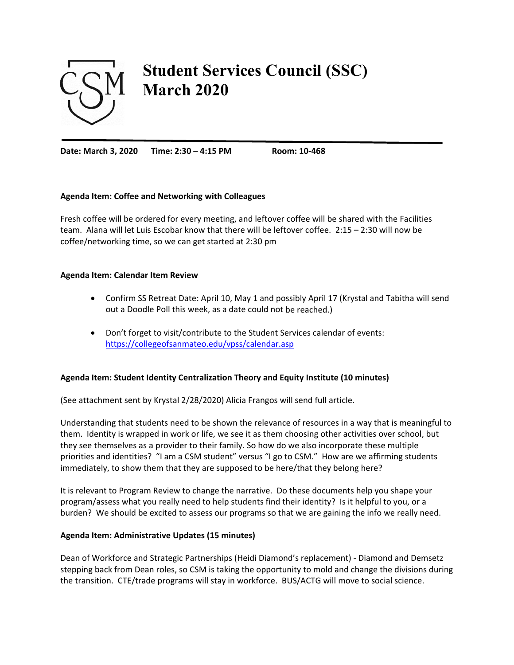

# **Student Services Council (SSC) March 2020**

**Date: March 3, 2020 Time: 2:30 – 4:15 PM Room: 10‐468**

## **Agenda Item: Coffee and Networking with Colleagues**

Fresh coffee will be ordered for every meeting, and leftover coffee will be shared with the Facilities team. Alana will let Luis Escobar know that there will be leftover coffee. 2:15 – 2:30 will now be coffee/networking time, so we can get started at 2:30 pm

#### **Agenda Item: Calendar Item Review**

- Confirm SS Retreat Date: April 10, May 1 and possibly April 17 (Krystal and Tabitha will send out a Doodle Poll this week, as a date could not be reached.)
- Don't forget to visit/contribute to the Student Services calendar of events: https://collegeofsanmateo.edu/vpss/calendar.asp

# **Agenda Item: Student Identity Centralization Theory and Equity Institute (10 minutes)**

(See attachment sent by Krystal 2/28/2020) Alicia Frangos will send full article.

Understanding that students need to be shown the relevance of resources in a way that is meaningful to them. Identity is wrapped in work or life, we see it as them choosing other activities over school, but they see themselves as a provider to their family. So how do we also incorporate these multiple priorities and identities? "I am a CSM student" versus "I go to CSM." How are we affirming students immediately, to show them that they are supposed to be here/that they belong here?

It is relevant to Program Review to change the narrative. Do these documents help you shape your program/assess what you really need to help students find their identity? Is it helpful to you, or a burden? We should be excited to assess our programs so that we are gaining the info we really need.

#### **Agenda Item: Administrative Updates (15 minutes)**

Dean of Workforce and Strategic Partnerships (Heidi Diamond's replacement) ‐ Diamond and Demsetz stepping back from Dean roles, so CSM is taking the opportunity to mold and change the divisions during the transition. CTE/trade programs will stay in workforce. BUS/ACTG will move to social science.